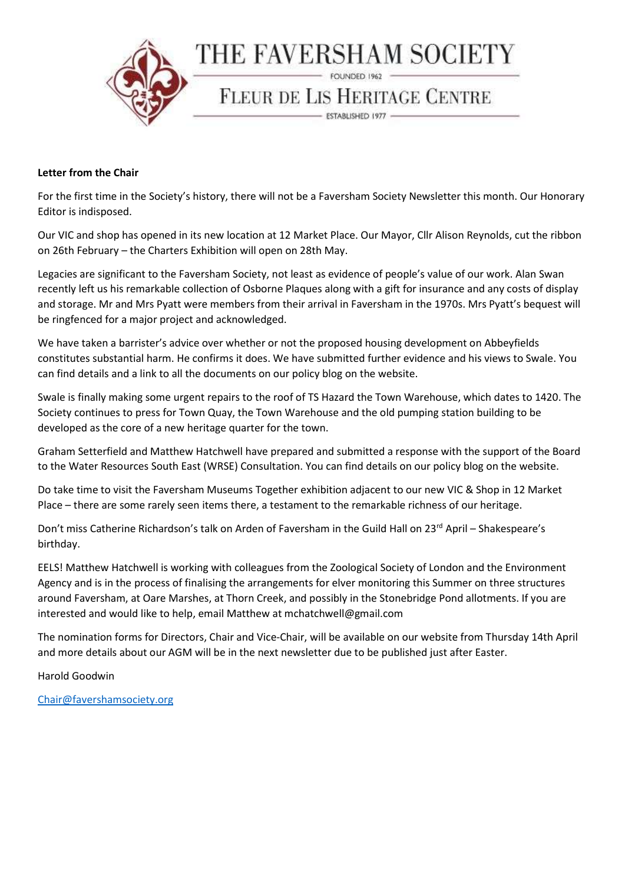

## Letter from the Chair

For the first time in the Society's history, there will not be a Faversham Society Newsletter this month. Our Honorary Editor is indisposed.

Our VIC and shop has opened in its new location at 12 Market Place. Our Mayor, Cllr Alison Reynolds, cut the ribbon on 26th February – the Charters Exhibition will open on 28th May.

Legacies are significant to the Faversham Society, not least as evidence of people's value of our work. Alan Swan recently left us his remarkable collection of Osborne Plaques along with a gift for insurance and any costs of display and storage. Mr and Mrs Pyatt were members from their arrival in Faversham in the 1970s. Mrs Pyatt's bequest will be ringfenced for a major project and acknowledged.

We have taken a barrister's advice over whether or not the proposed housing development on Abbeyfields constitutes substantial harm. He confirms it does. We have submitted further evidence and his views to Swale. You can find details and a link to all the documents on our policy blog on the website.

Swale is finally making some urgent repairs to the roof of TS Hazard the Town Warehouse, which dates to 1420. The Society continues to press for Town Quay, the Town Warehouse and the old pumping station building to be developed as the core of a new heritage quarter for the town.

Graham Setterfield and Matthew Hatchwell have prepared and submitted a response with the support of the Board to the Water Resources South East (WRSE) Consultation. You can find details on our policy blog on the website.

Do take time to visit the Faversham Museums Together exhibition adjacent to our new VIC & Shop in 12 Market Place – there are some rarely seen items there, a testament to the remarkable richness of our heritage.

Don't miss Catherine Richardson's talk on Arden of Faversham in the Guild Hall on 23rd April - Shakespeare's birthday.

EELS! Matthew Hatchwell is working with colleagues from the Zoological Society of London and the Environment Agency and is in the process of finalising the arrangements for elver monitoring this Summer on three structures around Faversham, at Oare Marshes, at Thorn Creek, and possibly in the Stonebridge Pond allotments. If you are interested and would like to help, email Matthew at mchatchwell@gmail.com

The nomination forms for Directors, Chair and Vice-Chair, will be available on our website from Thursday 14th April and more details about our AGM will be in the next newsletter due to be published just after Easter.

Harold Goodwin

Chair@favershamsociety.org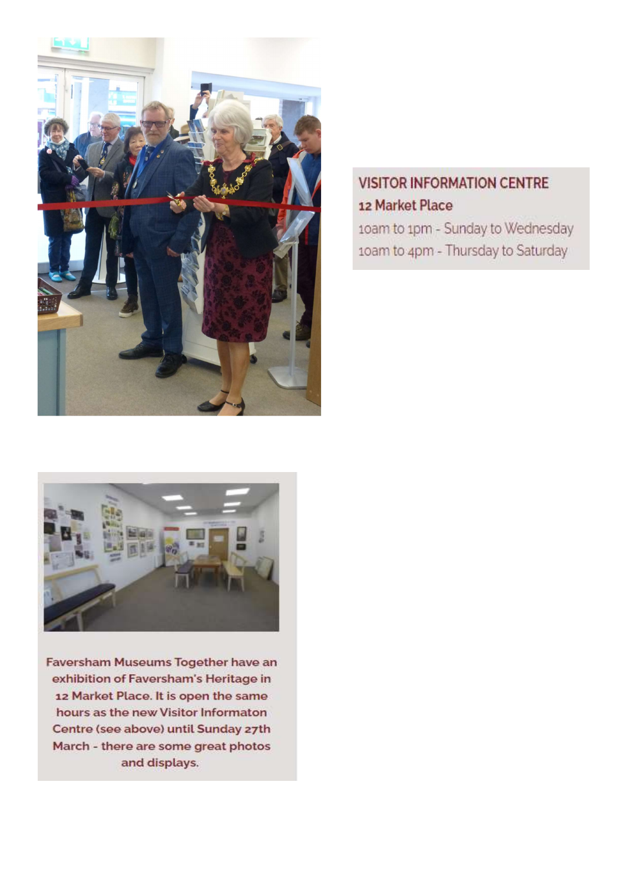

## **VISITOR INFORMATION CENTRE** 12 Market Place

10am to 1pm - Sunday to Wednesday 10am to 4pm - Thursday to Saturday



Faversham Museums Together have an exhibition of Faversham's Heritage in 12 Market Place. It is open the same hours as the new Visitor Informaton Centre (see above) until Sunday 27th March - there are some great photos and displays.